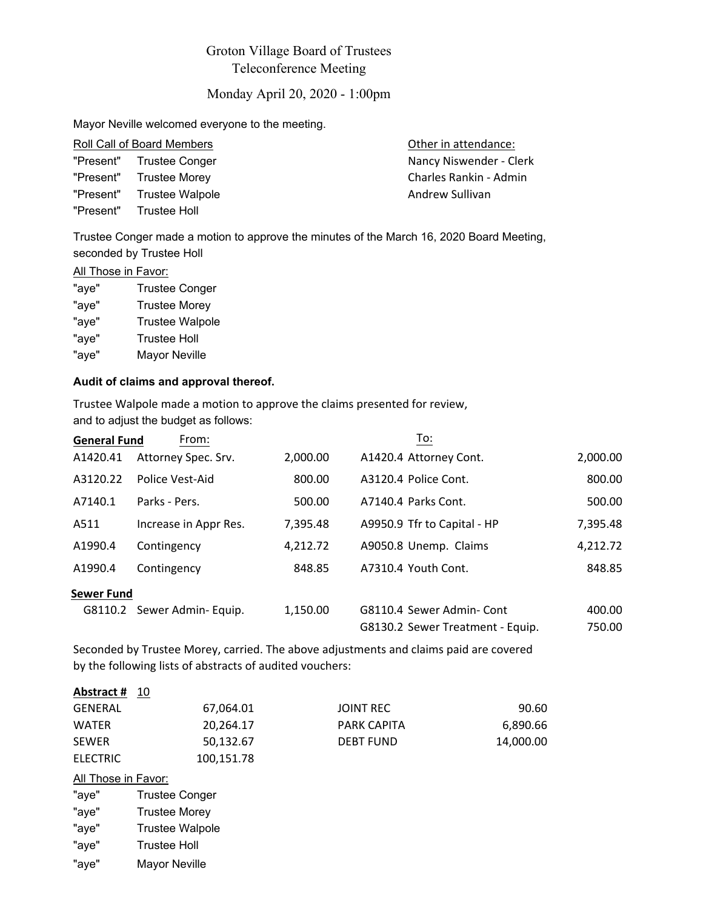# Groton Village Board of Trustees Teleconference Meeting

Monday April 20, 2020 - 1:00pm

Mayor Neville welcomed everyone to the meeting.

| Roll Call of Board Members |                           | Other in attendance:    |  |
|----------------------------|---------------------------|-------------------------|--|
|                            | "Present" Trustee Conger  | Nancy Niswender - Clerk |  |
|                            | "Present" Trustee Morey   | Charles Rankin - Admin  |  |
|                            | "Present" Trustee Walpole | Andrew Sullivan         |  |
|                            | "Present" Trustee Holl    |                         |  |

Trustee Conger made a motion to approve the minutes of the March 16, 2020 Board Meeting, seconded by Trustee Holl

## **All Those in Favor:**

| "aye" | <b>Trustee Conger</b>  |
|-------|------------------------|
| "aye" | <b>Trustee Morey</b>   |
| "aye" | <b>Trustee Walpole</b> |
| "aye" | <b>Trustee Holl</b>    |
| "aye" | <b>Mayor Neville</b>   |

### **Audit of claims and approval thereof.**

Trustee Walpole made a motion to approve the claims presented for review, and to adjust the budget as follows:

| <b>General Fund</b> | From:                      |          | To:                              |          |
|---------------------|----------------------------|----------|----------------------------------|----------|
| A1420.41            | Attorney Spec. Srv.        | 2,000.00 | A1420.4 Attorney Cont.           | 2,000.00 |
| A3120.22            | Police Vest-Aid            | 800.00   | A3120.4 Police Cont.             | 800.00   |
| A7140.1             | Parks - Pers.              | 500.00   | A7140.4 Parks Cont.              | 500.00   |
| A511                | Increase in Appr Res.      | 7,395.48 | A9950.9 Tfr to Capital - HP      | 7,395.48 |
| A1990.4             | Contingency                | 4,212.72 | A9050.8 Unemp. Claims            | 4,212.72 |
| A1990.4             | Contingency                | 848.85   | A7310.4 Youth Cont.              | 848.85   |
| <b>Sewer Fund</b>   |                            |          |                                  |          |
|                     | G8110.2 Sewer Admin-Equip. | 1,150.00 | G8110.4 Sewer Admin-Cont         | 400.00   |
|                     |                            |          | G8130.2 Sewer Treatment - Equip. | 750.00   |

Seconded by Trustee Morey, carried. The above adjustments and claims paid are covered by the following lists of abstracts of audited vouchers:

| Abstract #          | 10                     |                    |           |
|---------------------|------------------------|--------------------|-----------|
| <b>GENERAL</b>      | 67,064.01              | <b>JOINT REC</b>   | 90.60     |
| <b>WATER</b>        | 20,264.17              | <b>PARK CAPITA</b> | 6,890.66  |
| <b>SEWER</b>        | 50,132.67              | <b>DEBT FUND</b>   | 14,000.00 |
| <b>ELECTRIC</b>     | 100,151.78             |                    |           |
| All Those in Favor: |                        |                    |           |
| "aye"               | <b>Trustee Conger</b>  |                    |           |
| "aye"               | <b>Trustee Morey</b>   |                    |           |
| "aye"               | <b>Trustee Walpole</b> |                    |           |
| "aye"               | <b>Trustee Holl</b>    |                    |           |
| "aye"               | Mayor Neville          |                    |           |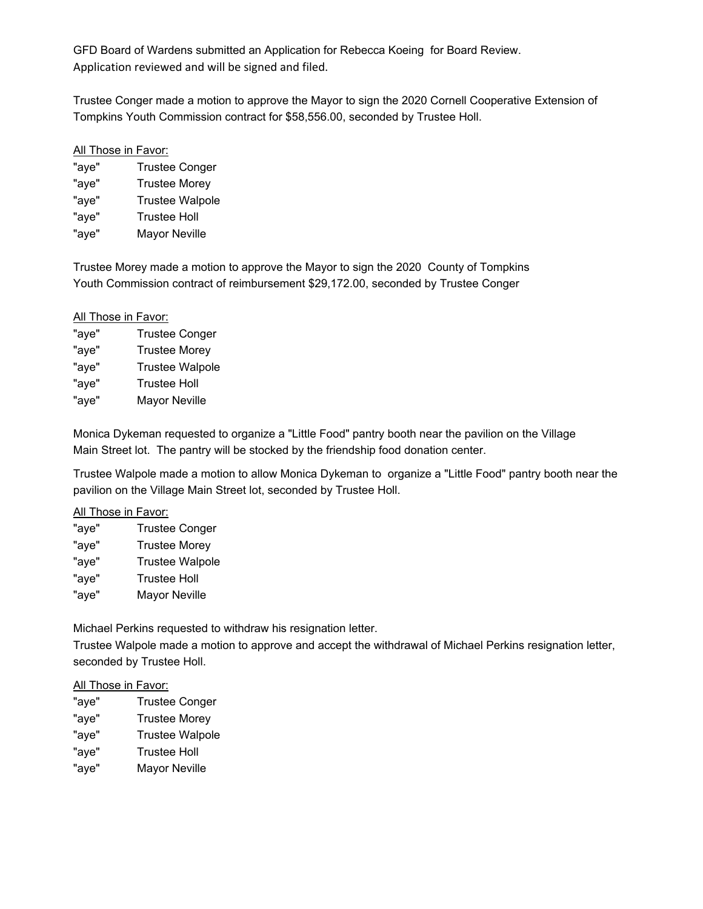GFD Board of Wardens submitted an Application for Rebecca Koeing for Board Review. Application reviewed and will be signed and filed.

Trustee Conger made a motion to approve the Mayor to sign the 2020 Cornell Cooperative Extension of Tompkins Youth Commission contract for \$58,556.00, seconded by Trustee Holl.

#### All Those in Favor:

| "aye" | <b>Trustee Conger</b>  |
|-------|------------------------|
| "aye" | <b>Trustee Morey</b>   |
| "aye" | <b>Trustee Walpole</b> |
| "aye" | <b>Trustee Holl</b>    |
| "aye" | <b>Mayor Neville</b>   |

Trustee Morey made a motion to approve the Mayor to sign the 2020 County of Tompkins Youth Commission contract of reimbursement \$29,172.00, seconded by Trustee Conger

#### All Those in Favor:

| "aye" | <b>Trustee Conger</b>  |
|-------|------------------------|
| "aye" | <b>Trustee Morey</b>   |
| "aye" | <b>Trustee Walpole</b> |
| "aye" | <b>Trustee Holl</b>    |
| "aye" | <b>Mayor Neville</b>   |

Monica Dykeman requested to organize a "Little Food" pantry booth near the pavilion on the Village Main Street lot. The pantry will be stocked by the friendship food donation center.

Trustee Walpole made a motion to allow Monica Dykeman to organize a "Little Food" pantry booth near the pavilion on the Village Main Street lot, seconded by Trustee Holl.

## All Those in Favor:

| <b>Trustee Conger</b>  |
|------------------------|
| <b>Trustee Morey</b>   |
| <b>Trustee Walpole</b> |
| <b>Trustee Holl</b>    |
| <b>Mayor Neville</b>   |
|                        |

Michael Perkins requested to withdraw his resignation letter.

Trustee Walpole made a motion to approve and accept the withdrawal of Michael Perkins resignation letter, seconded by Trustee Holl.

#### All Those in Favor:

"aye" Trustee Conger "aye" Trustee Morey "aye" Trustee Walpole "aye" Trustee Holl "aye" Mayor Neville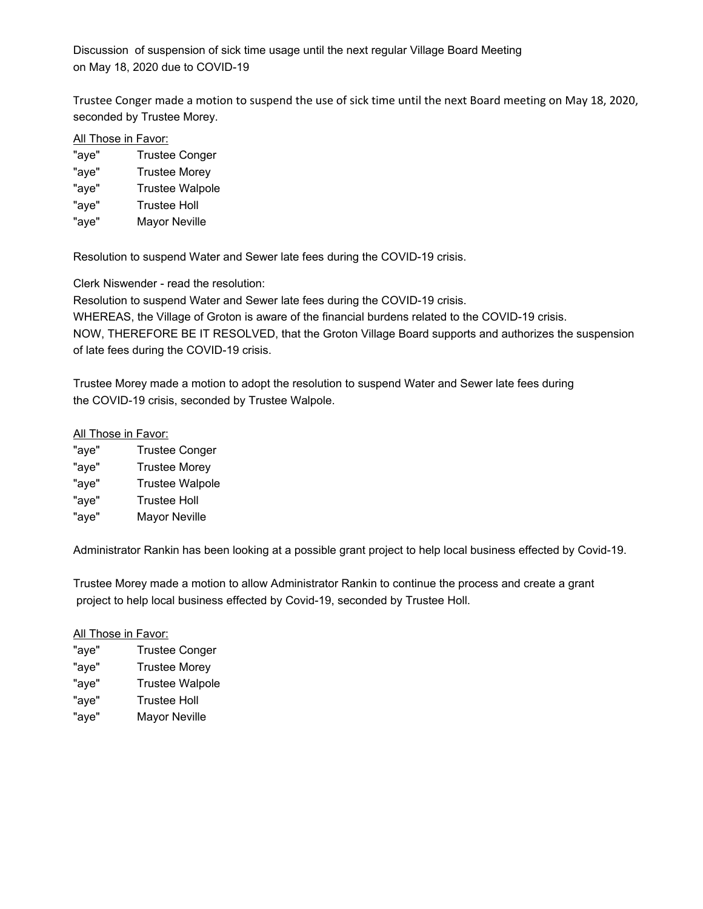Discussion of suspension of sick time usage until the next regular Village Board Meeting on May 18, 2020 due to COVID-19

Trustee Conger made a motion to suspend the use of sick time until the next Board meeting on May 18, 2020, seconded by Trustee Morey.

#### All Those in Favor:

- "aye" Trustee Conger
- "aye" Trustee Morey
- "aye" Trustee Walpole
- "aye" Trustee Holl
- "aye" Mayor Neville

Resolution to suspend Water and Sewer late fees during the COVID-19 crisis.

Clerk Niswender - read the resolution:

Resolution to suspend Water and Sewer late fees during the COVID-19 crisis.

WHEREAS, the Village of Groton is aware of the financial burdens related to the COVID-19 crisis.

NOW, THEREFORE BE IT RESOLVED, that the Groton Village Board supports and authorizes the suspension of late fees during the COVID-19 crisis.

Trustee Morey made a motion to adopt the resolution to suspend Water and Sewer late fees during the COVID-19 crisis, seconded by Trustee Walpole.

# All Those in Favor:

| "aye" | <b>Trustee Conger</b>  |
|-------|------------------------|
| "aye" | <b>Trustee Morey</b>   |
| "aye" | <b>Trustee Walpole</b> |
| "aye" | <b>Trustee Holl</b>    |
| "aye" | <b>Mayor Neville</b>   |

Administrator Rankin has been looking at a possible grant project to help local business effected by Covid-19.

Trustee Morey made a motion to allow Administrator Rankin to continue the process and create a grant project to help local business effected by Covid-19, seconded by Trustee Holl.

### All Those in Favor:

| "aye" | <b>Trustee Conger</b>  |
|-------|------------------------|
| "aye" | <b>Trustee Morey</b>   |
| "aye" | <b>Trustee Walpole</b> |
| "aye" | <b>Trustee Holl</b>    |
| "aye" | <b>Mayor Neville</b>   |